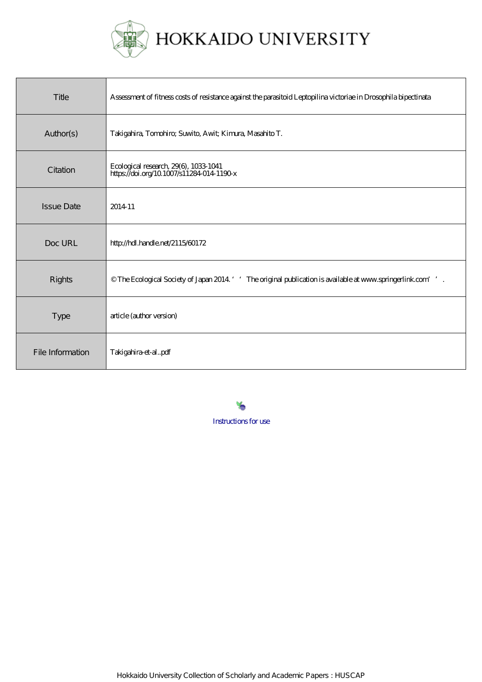

HOKKAIDO UNIVERSITY

| Title             | Assessment of fitness costs of resistance against the parasitoid Leptopilina victoriae in Drosophila bipectinata   |
|-------------------|--------------------------------------------------------------------------------------------------------------------|
| Author(s)         | Takigahira, Tomohiro; Suwito, Awit; Kimura, Masahito T.                                                            |
| Citation          | Ecological research, 29(6), 1033-1041<br>https://doi.org/10.1007/s11284-014-1190-x                                 |
| <b>Issue Date</b> | 2014-11                                                                                                            |
| Doc URL           | http://hdl.handle.net/2115/60172                                                                                   |
| <b>Rights</b>     | $\circ$ The Ecological Society of Japan 2014 ' ' The original publication is available at www.springerlink.com' '. |
| <b>Type</b>       | article (author version)                                                                                           |
| File Information  | Takigahira-et-alpdf                                                                                                |

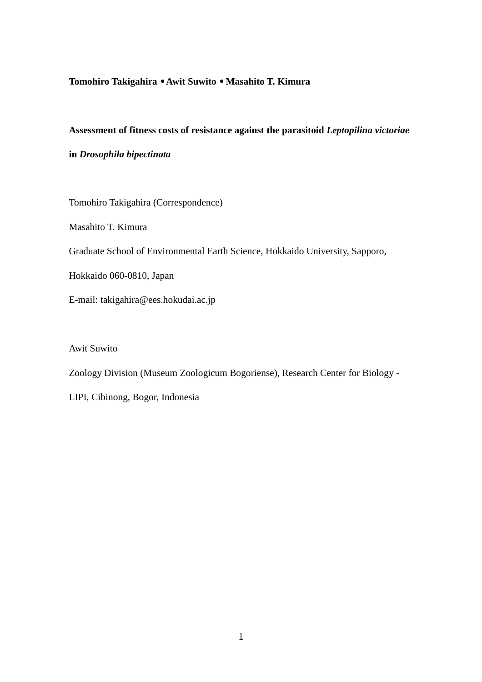# **Tomohiro Takigahira** • **Awit Suwito** • **Masahito T. Kimura**

## **Assessment of fitness costs of resistance against the parasitoid** *Leptopilina victoriae*

**in** *Drosophila bipectinata*

Tomohiro Takigahira (Correspondence)

Masahito T. Kimura

Graduate School of Environmental Earth Science, Hokkaido University, Sapporo,

Hokkaido 060-0810, Japan

E-mail: takigahira@ees.hokudai.ac.jp

Awit Suwito

Zoology Division (Museum Zoologicum Bogoriense), Research Center for Biology -

LIPI, Cibinong, Bogor, Indonesia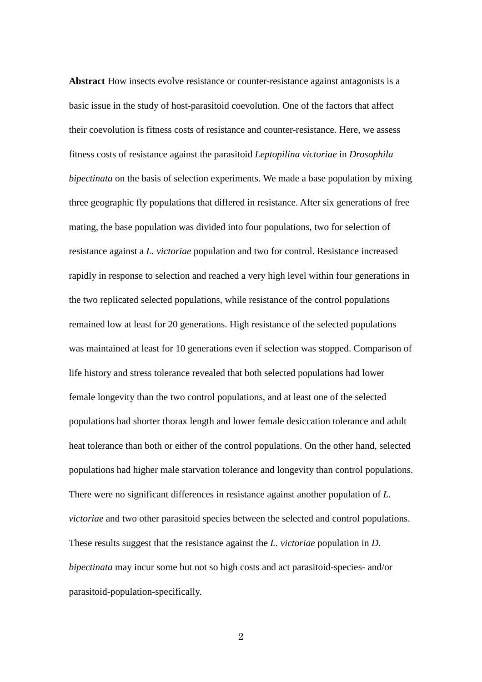**Abstract** How insects evolve resistance or counter-resistance against antagonists is a basic issue in the study of host-parasitoid coevolution. One of the factors that affect their coevolution is fitness costs of resistance and counter-resistance. Here, we assess fitness costs of resistance against the parasitoid *Leptopilina victoriae* in *Drosophila bipectinata* on the basis of selection experiments. We made a base population by mixing three geographic fly populations that differed in resistance. After six generations of free mating, the base population was divided into four populations, two for selection of resistance against a *L. victoriae* population and two for control. Resistance increased rapidly in response to selection and reached a very high level within four generations in the two replicated selected populations, while resistance of the control populations remained low at least for 20 generations. High resistance of the selected populations was maintained at least for 10 generations even if selection was stopped. Comparison of life history and stress tolerance revealed that both selected populations had lower female longevity than the two control populations, and at least one of the selected populations had shorter thorax length and lower female desiccation tolerance and adult heat tolerance than both or either of the control populations. On the other hand, selected populations had higher male starvation tolerance and longevity than control populations. There were no significant differences in resistance against another population of *L. victoriae* and two other parasitoid species between the selected and control populations. These results suggest that the resistance against the *L. victoriae* population in *D. bipectinata* may incur some but not so high costs and act parasitoid-species- and/or parasitoid-population-specifically.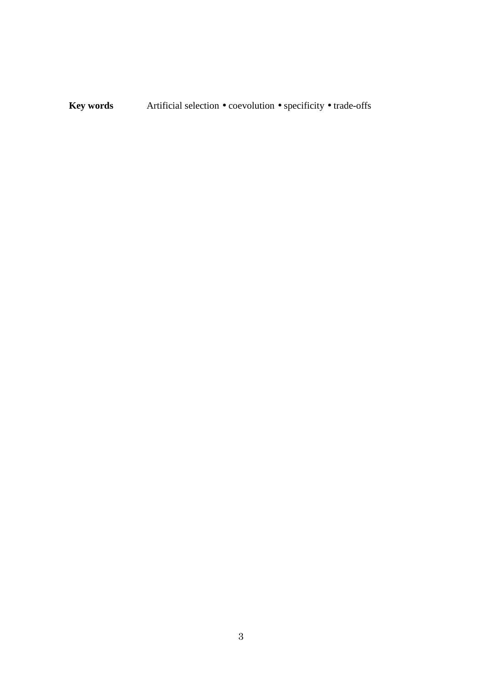**Key words** Artificial selection • coevolution • specificity • trade-offs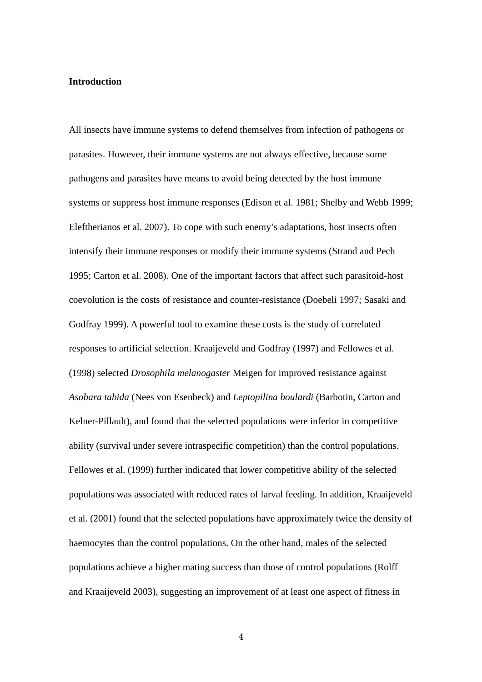#### **Introduction**

All insects have immune systems to defend themselves from infection of pathogens or parasites. However, their immune systems are not always effective, because some pathogens and parasites have means to avoid being detected by the host immune systems or suppress host immune responses (Edison et al. 1981; Shelby and Webb 1999; Eleftherianos et al. 2007). To cope with such enemy's adaptations, host insects often intensify their immune responses or modify their immune systems (Strand and Pech 1995; Carton et al. 2008). One of the important factors that affect such parasitoid-host coevolution is the costs of resistance and counter-resistance (Doebeli 1997; Sasaki and Godfray 1999). A powerful tool to examine these costs is the study of correlated responses to artificial selection. Kraaijeveld and Godfray (1997) and Fellowes et al. (1998) selected *Drosophila melanogaster* Meigen for improved resistance against *Asobara tabida* (Nees von Esenbeck) and *Leptopilina boulardi* (Barbotin, Carton and Kelner-Pillault), and found that the selected populations were inferior in competitive ability (survival under severe intraspecific competition) than the control populations. Fellowes et al. (1999) further indicated that lower competitive ability of the selected populations was associated with reduced rates of larval feeding. In addition, Kraaijeveld et al. (2001) found that the selected populations have approximately twice the density of haemocytes than the control populations. On the other hand, males of the selected populations achieve a higher mating success than those of control populations (Rolff and Kraaijeveld 2003), suggesting an improvement of at least one aspect of fitness in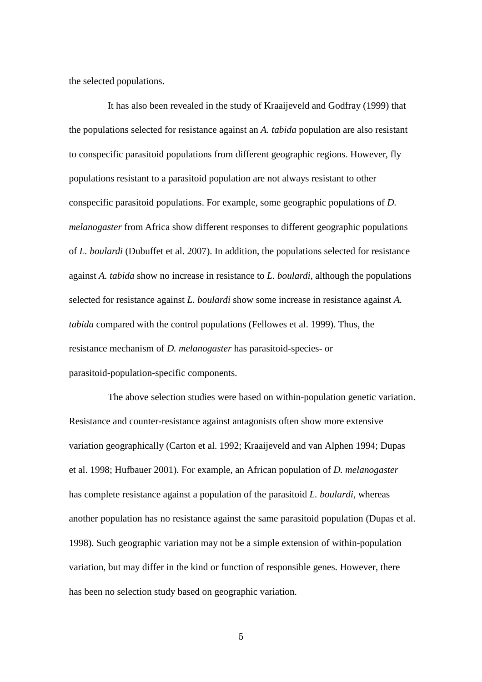the selected populations.

It has also been revealed in the study of Kraaijeveld and Godfray (1999) that the populations selected for resistance against an *A. tabida* population are also resistant to conspecific parasitoid populations from different geographic regions. However, fly populations resistant to a parasitoid population are not always resistant to other conspecific parasitoid populations. For example, some geographic populations of *D. melanogaster* from Africa show different responses to different geographic populations of *L. boulardi* (Dubuffet et al. 2007). In addition, the populations selected for resistance against *A. tabida* show no increase in resistance to *L. boulardi*, although the populations selected for resistance against *L. boulardi* show some increase in resistance against *A. tabida* compared with the control populations (Fellowes et al. 1999). Thus, the resistance mechanism of *D. melanogaster* has parasitoid-species- or parasitoid-population-specific components.

The above selection studies were based on within-population genetic variation. Resistance and counter-resistance against antagonists often show more extensive variation geographically (Carton et al. 1992; Kraaijeveld and van Alphen 1994; Dupas et al. 1998; Hufbauer 2001). For example, an African population of *D. melanogaster* has complete resistance against a population of the parasitoid *L. boulardi*, whereas another population has no resistance against the same parasitoid population (Dupas et al. 1998). Such geographic variation may not be a simple extension of within-population variation, but may differ in the kind or function of responsible genes. However, there has been no selection study based on geographic variation.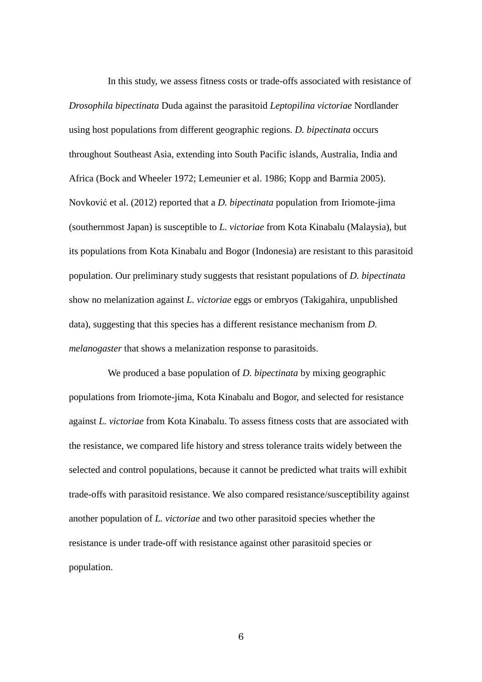In this study, we assess fitness costs or trade-offs associated with resistance of *Drosophila bipectinata* Duda against the parasitoid *Leptopilina victoriae* Nordlander using host populations from different geographic regions. *D. bipectinata* occurs throughout Southeast Asia, extending into South Pacific islands, Australia, India and Africa (Bock and Wheeler 1972; Lemeunier et al. 1986; Kopp and Barmia 2005). Novković et al. (2012) reported that a *D. bipectinata* population from Iriomote-jima (southernmost Japan) is susceptible to *L. victoriae* from Kota Kinabalu (Malaysia), but its populations from Kota Kinabalu and Bogor (Indonesia) are resistant to this parasitoid population. Our preliminary study suggests that resistant populations of *D. bipectinata* show no melanization against *L. victoriae* eggs or embryos (Takigahira, unpublished data), suggesting that this species has a different resistance mechanism from *D. melanogaster* that shows a melanization response to parasitoids.

We produced a base population of *D. bipectinata* by mixing geographic populations from Iriomote-jima, Kota Kinabalu and Bogor, and selected for resistance against *L. victoriae* from Kota Kinabalu. To assess fitness costs that are associated with the resistance, we compared life history and stress tolerance traits widely between the selected and control populations, because it cannot be predicted what traits will exhibit trade-offs with parasitoid resistance. We also compared resistance/susceptibility against another population of *L. victoriae* and two other parasitoid species whether the resistance is under trade-off with resistance against other parasitoid species or population.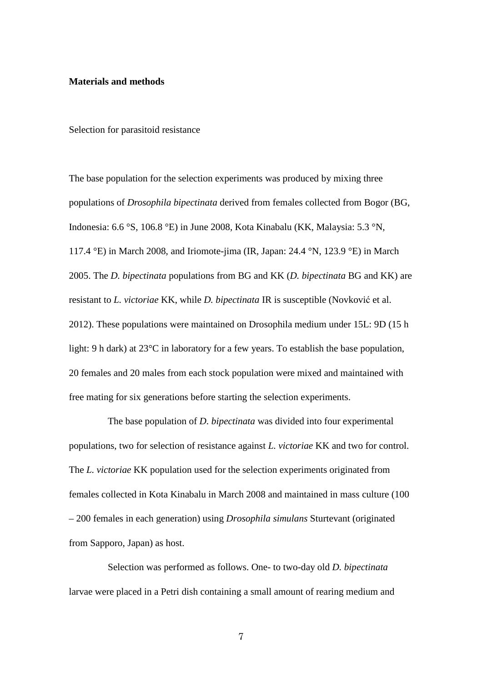## **Materials and methods**

Selection for parasitoid resistance

The base population for the selection experiments was produced by mixing three populations of *Drosophila bipectinata* derived from females collected from Bogor (BG, Indonesia: 6.6 °S, 106.8 °E) in June 2008, Kota Kinabalu (KK, Malaysia: 5.3 °N, 117.4 °E) in March 2008, and Iriomote-jima (IR, Japan: 24.4 °N, 123.9 °E) in March 2005. The *D. bipectinata* populations from BG and KK (*D. bipectinata* BG and KK) are resistant to *L. victoriae* KK, while *D. bipectinata* IR is susceptible (Novković et al. 2012). These populations were maintained on Drosophila medium under 15L: 9D (15 h light: 9 h dark) at 23°C in laboratory for a few years. To establish the base population, 20 females and 20 males from each stock population were mixed and maintained with free mating for six generations before starting the selection experiments.

The base population of *D. bipectinata* was divided into four experimental populations, two for selection of resistance against *L. victoriae* KK and two for control. The *L. victoriae* KK population used for the selection experiments originated from females collected in Kota Kinabalu in March 2008 and maintained in mass culture (100 – 200 females in each generation) using *Drosophila simulans* Sturtevant (originated from Sapporo, Japan) as host.

Selection was performed as follows. One- to two-day old *D. bipectinata* larvae were placed in a Petri dish containing a small amount of rearing medium and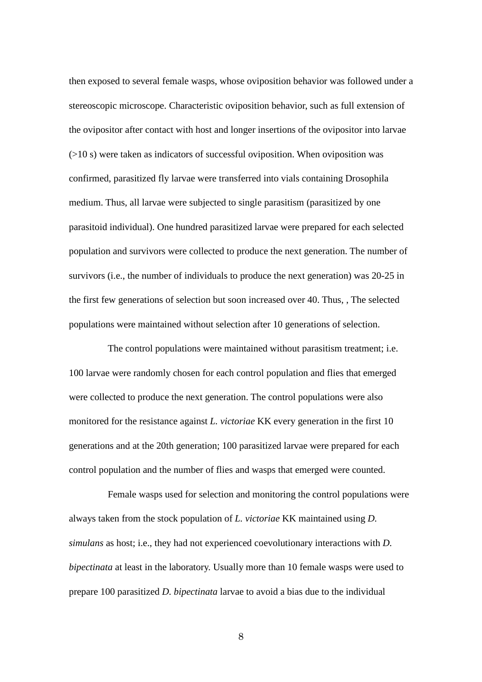then exposed to several female wasps, whose oviposition behavior was followed under a stereoscopic microscope. Characteristic oviposition behavior, such as full extension of the ovipositor after contact with host and longer insertions of the ovipositor into larvae  $(0.10 s)$  were taken as indicators of successful oviposition. When oviposition was confirmed, parasitized fly larvae were transferred into vials containing Drosophila medium. Thus, all larvae were subjected to single parasitism (parasitized by one parasitoid individual). One hundred parasitized larvae were prepared for each selected population and survivors were collected to produce the next generation. The number of survivors (i.e., the number of individuals to produce the next generation) was 20-25 in the first few generations of selection but soon increased over 40. Thus, , The selected populations were maintained without selection after 10 generations of selection.

The control populations were maintained without parasitism treatment; i.e. 100 larvae were randomly chosen for each control population and flies that emerged were collected to produce the next generation. The control populations were also monitored for the resistance against *L. victoriae* KK every generation in the first 10 generations and at the 20th generation; 100 parasitized larvae were prepared for each control population and the number of flies and wasps that emerged were counted.

Female wasps used for selection and monitoring the control populations were always taken from the stock population of *L. victoriae* KK maintained using *D. simulans* as host; i.e., they had not experienced coevolutionary interactions with *D. bipectinata* at least in the laboratory. Usually more than 10 female wasps were used to prepare 100 parasitized *D. bipectinata* larvae to avoid a bias due to the individual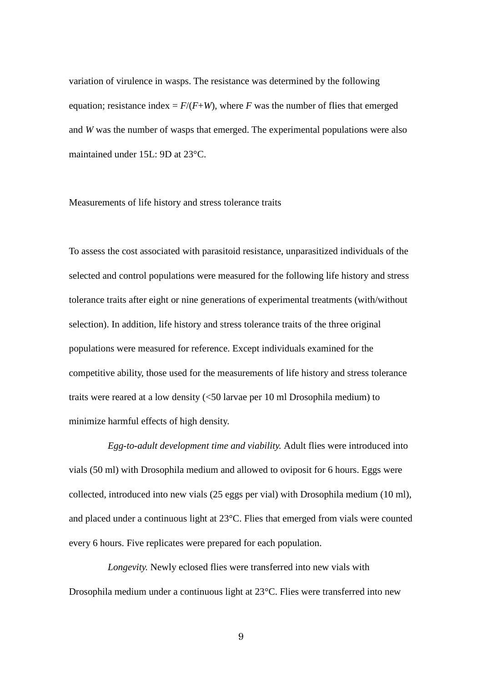variation of virulence in wasps. The resistance was determined by the following equation; resistance index =  $F/(F+W)$ , where *F* was the number of flies that emerged and *W* was the number of wasps that emerged. The experimental populations were also maintained under 15L: 9D at 23°C.

#### Measurements of life history and stress tolerance traits

To assess the cost associated with parasitoid resistance, unparasitized individuals of the selected and control populations were measured for the following life history and stress tolerance traits after eight or nine generations of experimental treatments (with/without selection). In addition, life history and stress tolerance traits of the three original populations were measured for reference. Except individuals examined for the competitive ability, those used for the measurements of life history and stress tolerance traits were reared at a low density (<50 larvae per 10 ml Drosophila medium) to minimize harmful effects of high density.

*Egg-to-adult development time and viability.* Adult flies were introduced into vials (50 ml) with Drosophila medium and allowed to oviposit for 6 hours. Eggs were collected, introduced into new vials (25 eggs per vial) with Drosophila medium (10 ml), and placed under a continuous light at 23°C. Flies that emerged from vials were counted every 6 hours. Five replicates were prepared for each population.

*Longevity.* Newly eclosed flies were transferred into new vials with Drosophila medium under a continuous light at 23°C. Flies were transferred into new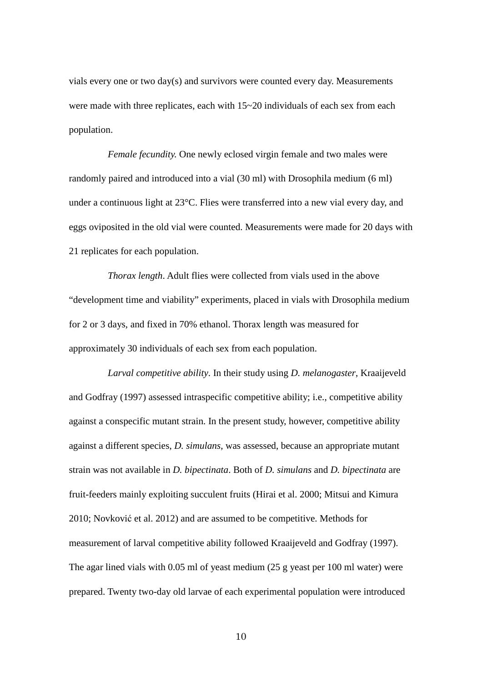vials every one or two day(s) and survivors were counted every day. Measurements were made with three replicates, each with  $15~20$  individuals of each sex from each population.

*Female fecundity.* One newly eclosed virgin female and two males were randomly paired and introduced into a vial (30 ml) with Drosophila medium (6 ml) under a continuous light at 23°C. Flies were transferred into a new vial every day, and eggs oviposited in the old vial were counted. Measurements were made for 20 days with 21 replicates for each population.

*Thorax length*. Adult flies were collected from vials used in the above "development time and viability" experiments, placed in vials with Drosophila medium for 2 or 3 days, and fixed in 70% ethanol. Thorax length was measured for approximately 30 individuals of each sex from each population.

*Larval competitive ability*. In their study using *D. melanogaster*, Kraaijeveld and Godfray (1997) assessed intraspecific competitive ability; i.e., competitive ability against a conspecific mutant strain. In the present study, however, competitive ability against a different species, *D. simulans*, was assessed, because an appropriate mutant strain was not available in *D. bipectinata*. Both of *D. simulans* and *D. bipectinata* are fruit-feeders mainly exploiting succulent fruits (Hirai et al. 2000; Mitsui and Kimura 2010; Novković et al. 2012) and are assumed to be competitive. Methods for measurement of larval competitive ability followed Kraaijeveld and Godfray (1997). The agar lined vials with 0.05 ml of yeast medium (25 g yeast per 100 ml water) were prepared. Twenty two-day old larvae of each experimental population were introduced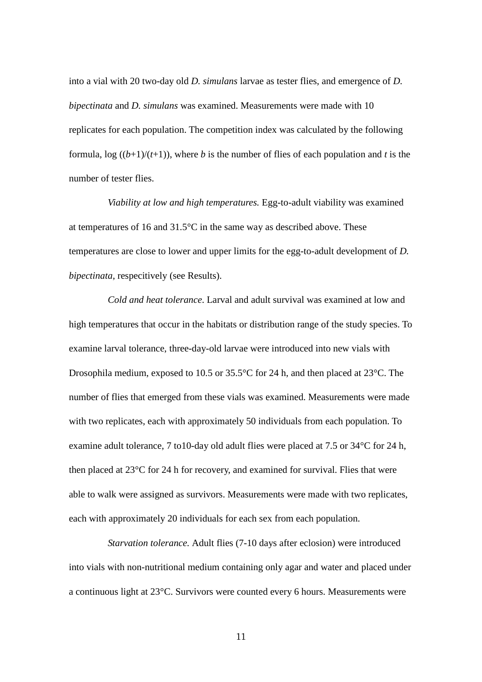into a vial with 20 two-day old *D. simulans* larvae as tester flies, and emergence of *D. bipectinata* and *D. simulans* was examined. Measurements were made with 10 replicates for each population. The competition index was calculated by the following formula,  $\log ((b+1)/(t+1))$ , where *b* is the number of flies of each population and *t* is the number of tester flies.

*Viability at low and high temperatures.* Egg-to-adult viability was examined at temperatures of 16 and 31.5°C in the same way as described above. These temperatures are close to lower and upper limits for the egg-to-adult development of *D. bipectinata*, respecitively (see Results).

*Cold and heat tolerance*. Larval and adult survival was examined at low and high temperatures that occur in the habitats or distribution range of the study species. To examine larval tolerance, three-day-old larvae were introduced into new vials with Drosophila medium, exposed to 10.5 or 35.5°C for 24 h, and then placed at 23°C. The number of flies that emerged from these vials was examined. Measurements were made with two replicates, each with approximately 50 individuals from each population. To examine adult tolerance, 7 to10-day old adult flies were placed at 7.5 or 34°C for 24 h, then placed at 23°C for 24 h for recovery, and examined for survival. Flies that were able to walk were assigned as survivors. Measurements were made with two replicates, each with approximately 20 individuals for each sex from each population.

*Starvation tolerance.* Adult flies (7-10 days after eclosion) were introduced into vials with non-nutritional medium containing only agar and water and placed under a continuous light at 23°C. Survivors were counted every 6 hours. Measurements were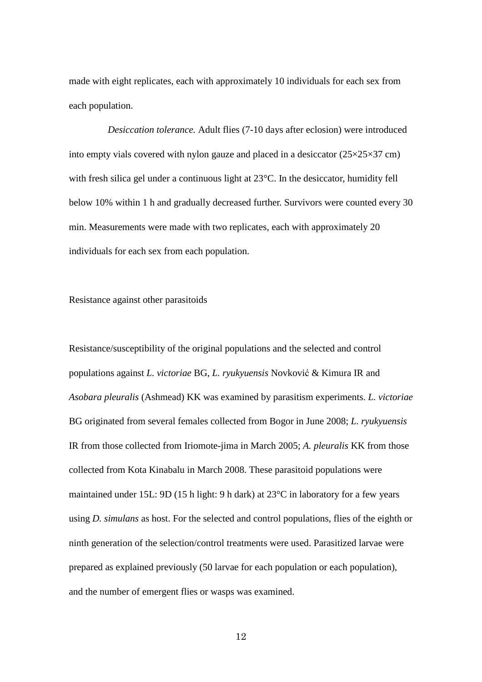made with eight replicates, each with approximately 10 individuals for each sex from each population.

*Desiccation tolerance.* Adult flies (7-10 days after eclosion) were introduced into empty vials covered with nylon gauze and placed in a desiccator  $(25\times25\times37 \text{ cm})$ with fresh silica gel under a continuous light at 23<sup>o</sup>C. In the desiccator, humidity fell below 10% within 1 h and gradually decreased further. Survivors were counted every 30 min. Measurements were made with two replicates, each with approximately 20 individuals for each sex from each population.

Resistance against other parasitoids

Resistance/susceptibility of the original populations and the selected and control populations against *L. victoriae* BG, *L. ryukyuensis* Novković & Kimura IR and *Asobara pleuralis* (Ashmead) KK was examined by parasitism experiments. *L. victoriae* BG originated from several females collected from Bogor in June 2008; *L. ryukyuensis* IR from those collected from Iriomote-jima in March 2005; *A. pleuralis* KK from those collected from Kota Kinabalu in March 2008. These parasitoid populations were maintained under 15L: 9D (15 h light: 9 h dark) at 23°C in laboratory for a few years using *D. simulans* as host. For the selected and control populations, flies of the eighth or ninth generation of the selection/control treatments were used. Parasitized larvae were prepared as explained previously (50 larvae for each population or each population), and the number of emergent flies or wasps was examined.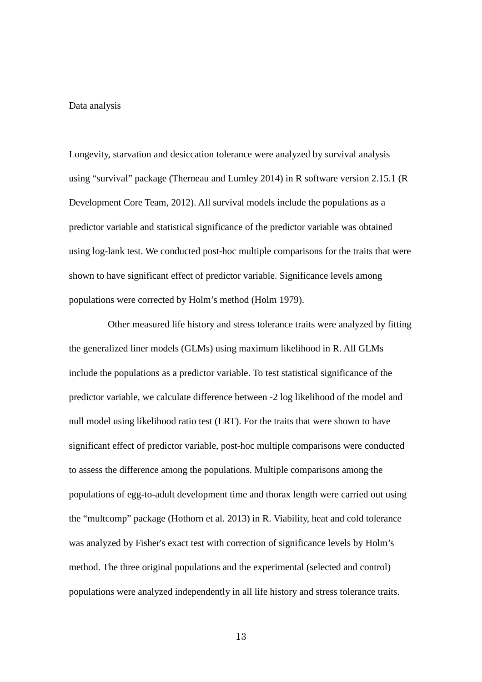#### Data analysis

Longevity, starvation and desiccation tolerance were analyzed by survival analysis using "survival" package (Therneau and Lumley 2014) in R software version 2.15.1 (R Development Core Team, 2012). All survival models include the populations as a predictor variable and statistical significance of the predictor variable was obtained using log-lank test. We conducted post-hoc multiple comparisons for the traits that were shown to have significant effect of predictor variable. Significance levels among populations were corrected by Holm's method (Holm 1979).

 Other measured life history and stress tolerance traits were analyzed by fitting the generalized liner models (GLMs) using maximum likelihood in R. All GLMs include the populations as a predictor variable. To test statistical significance of the predictor variable, we calculate difference between -2 log likelihood of the model and null model using likelihood ratio test (LRT). For the traits that were shown to have significant effect of predictor variable, post-hoc multiple comparisons were conducted to assess the difference among the populations. Multiple comparisons among the populations of egg-to-adult development time and thorax length were carried out using the "multcomp" package (Hothorn et al. 2013) in R. Viability, heat and cold tolerance was analyzed by Fisher's exact test with correction of significance levels by Holm's method. The three original populations and the experimental (selected and control) populations were analyzed independently in all life history and stress tolerance traits.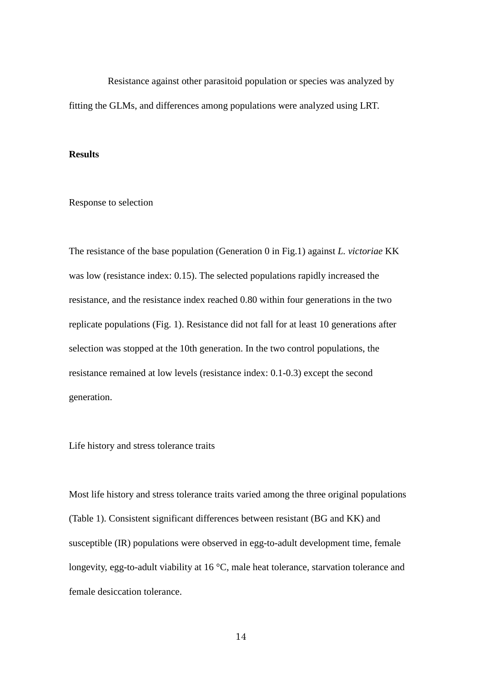Resistance against other parasitoid population or species was analyzed by fitting the GLMs, and differences among populations were analyzed using LRT.

#### **Results**

Response to selection

The resistance of the base population (Generation 0 in Fig.1) against *L. victoriae* KK was low (resistance index: 0.15). The selected populations rapidly increased the resistance, and the resistance index reached 0.80 within four generations in the two replicate populations (Fig. 1). Resistance did not fall for at least 10 generations after selection was stopped at the 10th generation. In the two control populations, the resistance remained at low levels (resistance index: 0.1-0.3) except the second generation.

Life history and stress tolerance traits

Most life history and stress tolerance traits varied among the three original populations (Table 1). Consistent significant differences between resistant (BG and KK) and susceptible (IR) populations were observed in egg-to-adult development time, female longevity, egg-to-adult viability at 16 °C, male heat tolerance, starvation tolerance and female desiccation tolerance.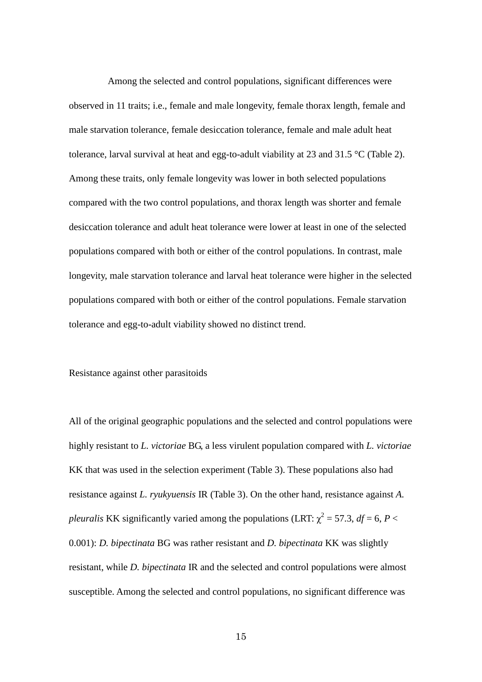Among the selected and control populations, significant differences were observed in 11 traits; i.e., female and male longevity, female thorax length, female and male starvation tolerance, female desiccation tolerance, female and male adult heat tolerance, larval survival at heat and egg-to-adult viability at 23 and 31.5  $\degree$ C (Table 2). Among these traits, only female longevity was lower in both selected populations compared with the two control populations, and thorax length was shorter and female desiccation tolerance and adult heat tolerance were lower at least in one of the selected populations compared with both or either of the control populations. In contrast, male longevity, male starvation tolerance and larval heat tolerance were higher in the selected populations compared with both or either of the control populations. Female starvation tolerance and egg-to-adult viability showed no distinct trend.

Resistance against other parasitoids

All of the original geographic populations and the selected and control populations were highly resistant to *L. victoriae* BG, a less virulent population compared with *L. victoriae* KK that was used in the selection experiment (Table 3). These populations also had resistance against *L. ryukyuensis* IR (Table 3). On the other hand, resistance against *A. pleuralis* KK significantly varied among the populations (LRT:  $\chi^2 = 57.3$ ,  $df = 6$ ,  $P <$ 0.001): *D. bipectinata* BG was rather resistant and *D. bipectinata* KK was slightly resistant, while *D. bipectinata* IR and the selected and control populations were almost susceptible. Among the selected and control populations, no significant difference was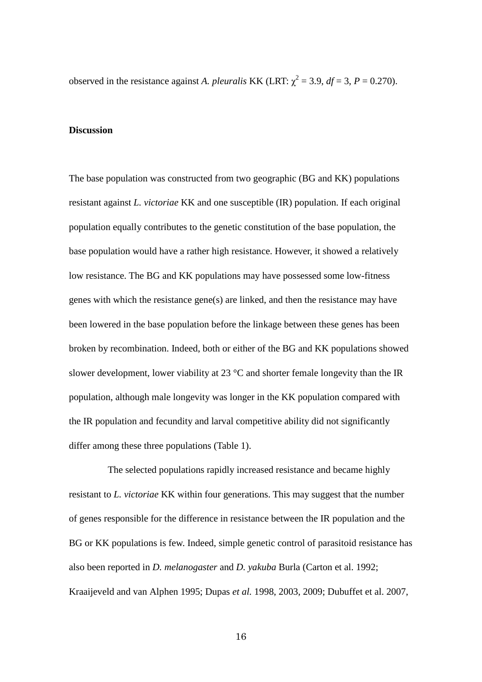observed in the resistance against *A. pleuralis* KK (LRT:  $\chi^2 = 3.9$ ,  $df = 3$ ,  $P = 0.270$ ).

## **Discussion**

The base population was constructed from two geographic (BG and KK) populations resistant against *L. victoriae* KK and one susceptible (IR) population. If each original population equally contributes to the genetic constitution of the base population, the base population would have a rather high resistance. However, it showed a relatively low resistance. The BG and KK populations may have possessed some low-fitness genes with which the resistance gene(s) are linked, and then the resistance may have been lowered in the base population before the linkage between these genes has been broken by recombination. Indeed, both or either of the BG and KK populations showed slower development, lower viability at  $23 \text{ °C}$  and shorter female longevity than the IR population, although male longevity was longer in the KK population compared with the IR population and fecundity and larval competitive ability did not significantly differ among these three populations (Table 1).

The selected populations rapidly increased resistance and became highly resistant to *L. victoriae* KK within four generations. This may suggest that the number of genes responsible for the difference in resistance between the IR population and the BG or KK populations is few. Indeed, simple genetic control of parasitoid resistance has also been reported in *D. melanogaster* and *D. yakuba* Burla (Carton et al. 1992; Kraaijeveld and van Alphen 1995; Dupas *et al.* 1998, 2003, 2009; Dubuffet et al. 2007,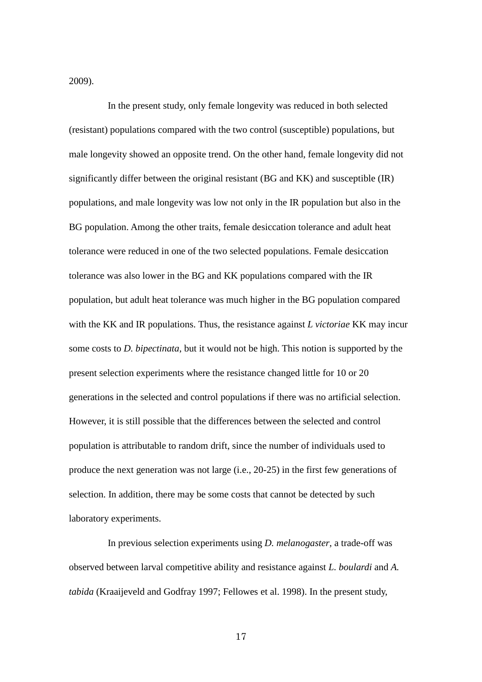2009).

In the present study, only female longevity was reduced in both selected (resistant) populations compared with the two control (susceptible) populations, but male longevity showed an opposite trend. On the other hand, female longevity did not significantly differ between the original resistant (BG and KK) and susceptible (IR) populations, and male longevity was low not only in the IR population but also in the BG population. Among the other traits, female desiccation tolerance and adult heat tolerance were reduced in one of the two selected populations. Female desiccation tolerance was also lower in the BG and KK populations compared with the IR population, but adult heat tolerance was much higher in the BG population compared with the KK and IR populations. Thus, the resistance against *L victoriae* KK may incur some costs to *D. bipectinata*, but it would not be high. This notion is supported by the present selection experiments where the resistance changed little for 10 or 20 generations in the selected and control populations if there was no artificial selection. However, it is still possible that the differences between the selected and control population is attributable to random drift, since the number of individuals used to produce the next generation was not large (i.e., 20-25) in the first few generations of selection. In addition, there may be some costs that cannot be detected by such laboratory experiments.

In previous selection experiments using *D. melanogaster*, a trade-off was observed between larval competitive ability and resistance against *L. boulardi* and *A. tabida* (Kraaijeveld and Godfray 1997; Fellowes et al. 1998). In the present study,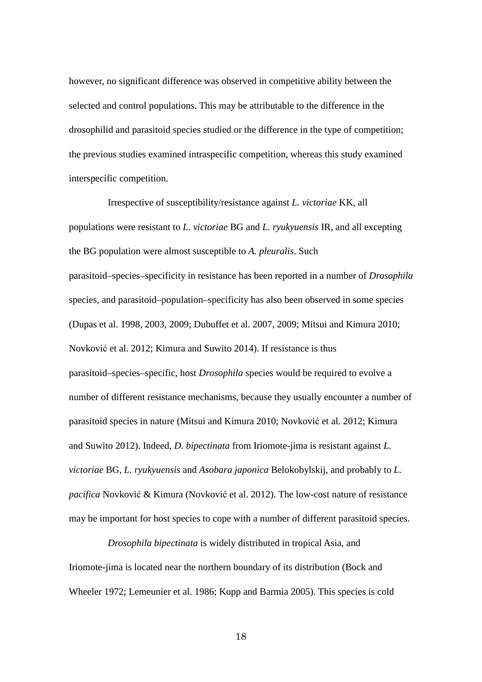however, no significant difference was observed in competitive ability between the selected and control populations. This may be attributable to the difference in the drosophilid and parasitoid species studied or the difference in the type of competition; the previous studies examined intraspecific competition, whereas this study examined interspecific competition.

Irrespective of susceptibility/resistance against *L. victoriae* KK, all populations were resistant to *L. victoriae* BG and *L. ryukyuensis* IR, and all excepting the BG population were almost susceptible to *A. pleuralis*. Such parasitoid–species–specificity in resistance has been reported in a number of *Drosophila* species, and parasitoid–population–specificity has also been observed in some species (Dupas et al. 1998, 2003, 2009; Dubuffet et al. 2007, 2009; Mitsui and Kimura 2010; Novković et al. 2012; Kimura and Suwito 2014). If resistance is thus parasitoid–species–specific, host *Drosophila* species would be required to evolve a number of different resistance mechanisms, because they usually encounter a number of parasitoid species in nature (Mitsui and Kimura 2010; Novković et al. 2012; Kimura and Suwito 2012). Indeed, *D. bipectinata* from Iriomote-jima is resistant against *L. victoriae* BG, *L. ryukyuensis* and *Asobara japonica* Belokobylskij, and probably to *L. pacifica* Novković & Kimura (Novković et al. 2012). The low-cost nature of resistance may be important for host species to cope with a number of different parasitoid species.

*Drosophila bipectinata* is widely distributed in tropical Asia, and Iriomote-jima is located near the northern boundary of its distribution (Bock and Wheeler 1972; Lemeunier et al. 1986; Kopp and Barmia 2005). This species is cold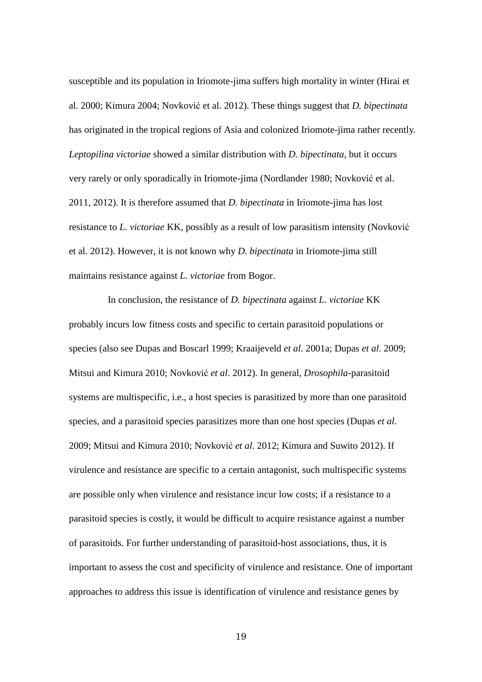susceptible and its population in Iriomote-jima suffers high mortality in winter (Hirai et al. 2000; Kimura 2004; Novković et al. 2012). These things suggest that *D. bipectinata* has originated in the tropical regions of Asia and colonized Iriomote-jima rather recently. *Leptopilina victoriae* showed a similar distribution with *D. bipectinata*, but it occurs very rarely or only sporadically in Iriomote-jima (Nordlander 1980; Novković et al. 2011, 2012). It is therefore assumed that *D. bipectinata* in Iriomote-jima has lost resistance to *L. victoriae* KK, possibly as a result of low parasitism intensity (Novković et al. 2012). However, it is not known why *D. bipectinata* in Iriomote-jima still maintains resistance against *L. victoriae* from Bogor.

In conclusion, the resistance of *D. bipectinata* against *L. victoriae* KK probably incurs low fitness costs and specific to certain parasitoid populations or species (also see Dupas and Boscarl 1999; Kraaijeveld *et al*. 2001a; Dupas *et al*. 2009; Mitsui and Kimura 2010; Novković *et al*. 2012). In general, *Drosophila*-parasitoid systems are multispecific, i.e., a host species is parasitized by more than one parasitoid species, and a parasitoid species parasitizes more than one host species (Dupas *et al*. 2009; Mitsui and Kimura 2010; Novković *et al*. 2012; Kimura and Suwito 2012). If virulence and resistance are specific to a certain antagonist, such multispecific systems are possible only when virulence and resistance incur low costs; if a resistance to a parasitoid species is costly, it would be difficult to acquire resistance against a number of parasitoids. For further understanding of parasitoid-host associations, thus, it is important to assess the cost and specificity of virulence and resistance. One of important approaches to address this issue is identification of virulence and resistance genes by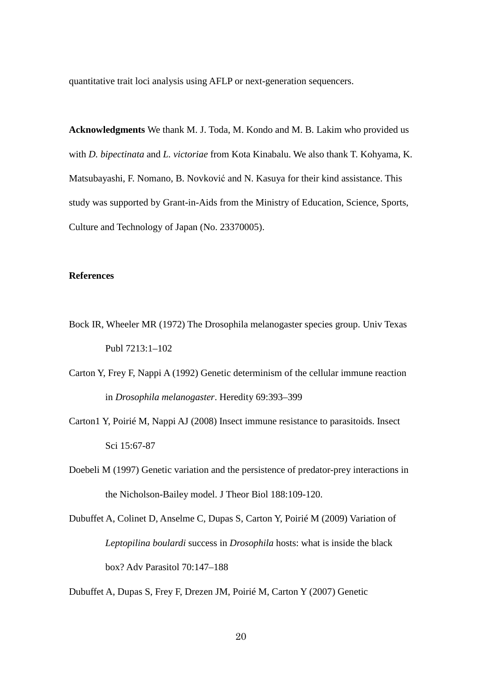quantitative trait loci analysis using AFLP or next-generation sequencers.

**Acknowledgments** We thank M. J. Toda, M. Kondo and M. B. Lakim who provided us with *D. bipectinata* and *L. victoriae* from Kota Kinabalu. We also thank T. Kohyama, K. Matsubayashi, F. Nomano, B. Novković and N. Kasuya for their kind assistance. This study was supported by Grant-in-Aids from the Ministry of Education, Science, Sports, Culture and Technology of Japan (No. 23370005).

### **References**

- Bock IR, Wheeler MR (1972) The Drosophila melanogaster species group. Univ Texas Publ 7213:1–102
- Carton Y, Frey F, Nappi A (1992) Genetic determinism of the cellular immune reaction in *Drosophila melanogaster*. Heredity 69:393–399
- Carton1 Y, Poirié M, Nappi AJ (2008) Insect immune resistance to parasitoids. Insect Sci 15:67-87
- Doebeli M (1997) Genetic variation and the persistence of predator-prey interactions in the Nicholson-Bailey model. J Theor Biol 188:109-120.
- Dubuffet A, Colinet D, Anselme C, Dupas S, Carton Y, Poirié M (2009) Variation of *Leptopilina boulardi* success in *Drosophila* hosts: what is inside the black box? Adv Parasitol 70:147–188

Dubuffet A, Dupas S, Frey F, Drezen JM, Poirié M, Carton Y (2007) Genetic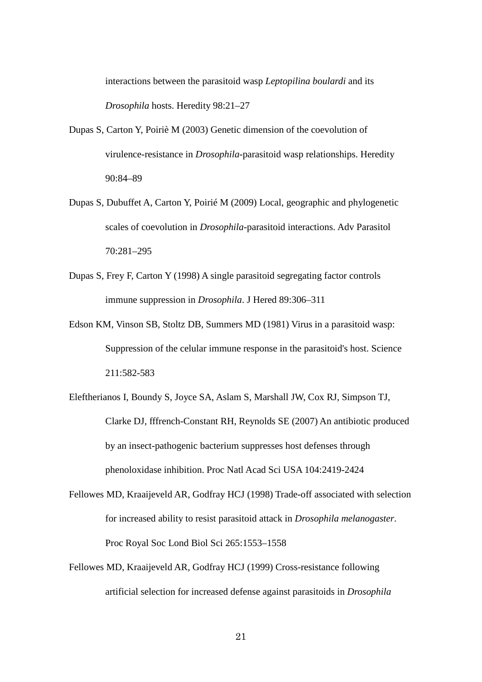interactions between the parasitoid wasp *Leptopilina boulardi* and its *Drosophila* hosts. Heredity 98:21–27

- Dupas S, Carton Y, Poiriè M (2003) Genetic dimension of the coevolution of virulence-resistance in *Drosophila*-parasitoid wasp relationships. Heredity 90:84–89
- Dupas S, Dubuffet A, Carton Y, Poirié M (2009) Local, geographic and phylogenetic scales of coevolution in *Drosophila*-parasitoid interactions. Adv Parasitol 70:281–295
- Dupas S, Frey F, Carton Y (1998) A single parasitoid segregating factor controls immune suppression in *Drosophila*. J Hered 89:306–311
- Edson KM, Vinson SB, Stoltz DB, Summers MD (1981) Virus in a parasitoid wasp: Suppression of the celular immune response in the parasitoid's host. Science 211:582-583
- Eleftherianos I, Boundy S, Joyce SA, Aslam S, Marshall JW, Cox RJ, Simpson TJ, Clarke DJ, fffrench-Constant RH, Reynolds SE (2007) An antibiotic produced by an insect-pathogenic bacterium suppresses host defenses through phenoloxidase inhibition. Proc Natl Acad Sci USA 104:2419-2424
- Fellowes MD, Kraaijeveld AR, Godfray HCJ (1998) Trade-off associated with selection for increased ability to resist parasitoid attack in *Drosophila melanogaster*. Proc Royal Soc Lond Biol Sci 265:1553–1558
- Fellowes MD, Kraaijeveld AR, Godfray HCJ (1999) Cross-resistance following artificial selection for increased defense against parasitoids in *Drosophila*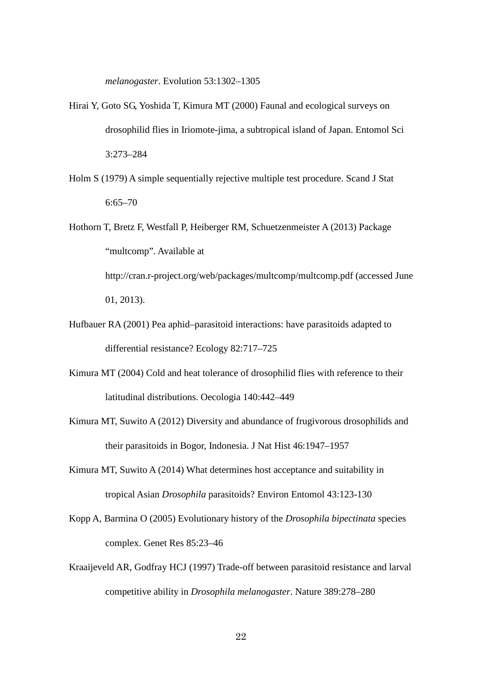*melanogaster*. Evolution 53:1302–1305

- Hirai Y, Goto SG, Yoshida T, Kimura MT (2000) Faunal and ecological surveys on drosophilid flies in Iriomote-jima, a subtropical island of Japan. Entomol Sci 3:273–284
- Holm S (1979) A simple sequentially rejective multiple test procedure. Scand J Stat 6:65–70
- Hothorn T, Bretz F, Westfall P, Heiberger RM, Schuetzenmeister A (2013) Package "multcomp". Available at http://cran.r-project.org/web/packages/multcomp/multcomp.pdf (accessed June 01, 2013).
- Hufbauer RA (2001) Pea aphid–parasitoid interactions: have parasitoids adapted to differential resistance? Ecology 82:717–725
- Kimura MT (2004) Cold and heat tolerance of drosophilid flies with reference to their latitudinal distributions. Oecologia 140:442–449
- Kimura MT, Suwito A (2012) Diversity and abundance of frugivorous drosophilids and their parasitoids in Bogor, Indonesia. J Nat Hist 46:1947–1957
- Kimura MT, Suwito A (2014) What determines host acceptance and suitability in tropical Asian *Drosophila* parasitoids? Environ Entomol 43:123-130
- Kopp A, Barmina O (2005) Evolutionary history of the *Drosophila bipectinata* species complex. Genet Res 85:23–46
- Kraaijeveld AR, Godfray HCJ (1997) Trade-off between parasitoid resistance and larval competitive ability in *Drosophila melanogaster*. Nature 389:278–280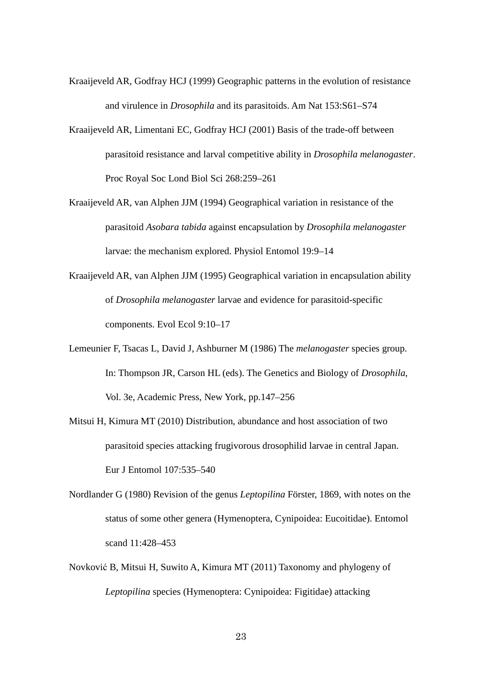- Kraaijeveld AR, Godfray HCJ (1999) Geographic patterns in the evolution of resistance and virulence in *Drosophila* and its parasitoids. Am Nat 153:S61–S74
- Kraaijeveld AR, Limentani EC, Godfray HCJ (2001) Basis of the trade-off between parasitoid resistance and larval competitive ability in *Drosophila melanogaster*. Proc Royal Soc Lond Biol Sci 268:259–261
- Kraaijeveld AR, van Alphen JJM (1994) Geographical variation in resistance of the parasitoid *Asobara tabida* against encapsulation by *Drosophila melanogaster* larvae: the mechanism explored. Physiol Entomol 19:9–14
- Kraaijeveld AR, van Alphen JJM (1995) Geographical variation in encapsulation ability of *Drosophila melanogaster* larvae and evidence for parasitoid-specific components. Evol Ecol 9:10–17
- Lemeunier F, Tsacas L, David J, Ashburner M (1986) The *melanogaster* species group. In: Thompson JR, Carson HL (eds). The Genetics and Biology of *Drosophila*, Vol. 3e, Academic Press, New York, pp.147–256
- Mitsui H, Kimura MT (2010) Distribution, abundance and host association of two parasitoid species attacking frugivorous drosophilid larvae in central Japan. Eur J Entomol 107:535–540
- Nordlander G (1980) Revision of the genus *Leptopilina* Förster, 1869, with notes on the status of some other genera (Hymenoptera, Cynipoidea: Eucoitidae). Entomol scand 11:428–453
- Novković B, Mitsui H, Suwito A, Kimura MT (2011) Taxonomy and phylogeny of *Leptopilina* species (Hymenoptera: Cynipoidea: Figitidae) attacking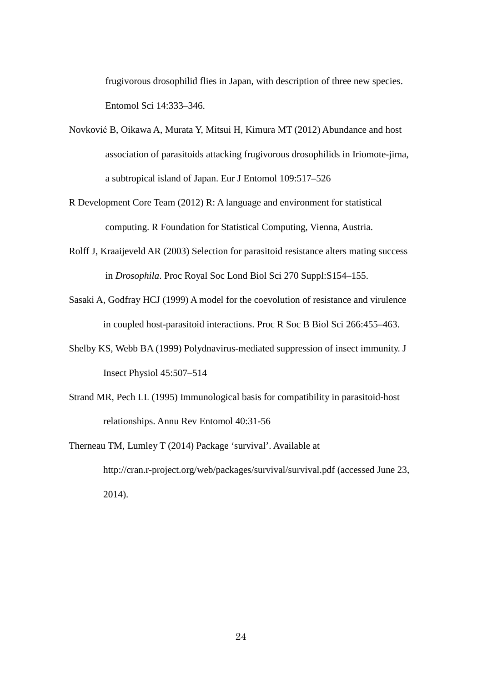frugivorous drosophilid flies in Japan, with description of three new species. Entomol Sci 14:333–346.

- Novković B, Oikawa A, Murata Y, Mitsui H, Kimura MT (2012) Abundance and host association of parasitoids attacking frugivorous drosophilids in Iriomote-jima, a subtropical island of Japan. Eur J Entomol 109:517–526
- R Development Core Team (2012) R: A language and environment for statistical computing. R Foundation for Statistical Computing, Vienna, Austria.
- Rolff J, Kraaijeveld AR (2003) Selection for parasitoid resistance alters mating success in *Drosophila*. Proc Royal Soc Lond Biol Sci 270 Suppl:S154–155.
- Sasaki A, Godfray HCJ (1999) A model for the coevolution of resistance and virulence in coupled host-parasitoid interactions. Proc R Soc B Biol Sci 266:455–463.
- Shelby KS, Webb BA (1999) Polydnavirus-mediated suppression of insect immunity. J Insect Physiol 45:507–514
- Strand MR, Pech LL (1995) Immunological basis for compatibility in parasitoid-host relationships. Annu Rev Entomol 40:31-56
- Therneau TM, Lumley T (2014) Package 'survival'. Available at http://cran.r-project.org/web/packages/survival/survival.pdf (accessed June 23, 2014).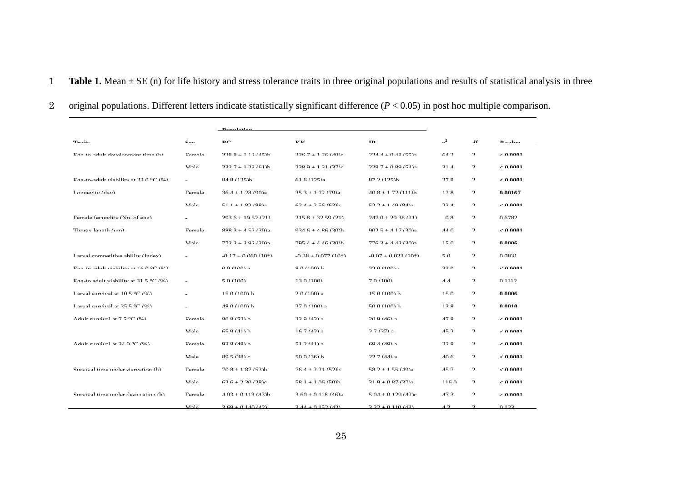- 1 **Table 1.** Mean ± SE (n) for life history and stress tolerance traits in three original populations and results of statistical analysis in three
- 2 original populations. Different letters indicate statistically significant difference (*P* < 0.05) in post hoc multiple comparison.

|                                                          |                    | منهما يسمى                        |                                    |                                  |                        |               |             |
|----------------------------------------------------------|--------------------|-----------------------------------|------------------------------------|----------------------------------|------------------------|---------------|-------------|
|                                                          |                    | D <sub>C</sub>                    | <b>LZ</b> LZ                       | <b>TD</b>                        |                        |               | D           |
| $E_{\alpha\alpha}$ to adult davalonment time $(h)$       | $E_{\alpha m}$ ala | $2200 + 112775$                   | $226.7 \pm 1.26$ (AO) <sub>0</sub> | $224.4 \pm 0.49.65$              | 612                    | $\mathcal{L}$ | - A AAA1    |
|                                                          | Male               | $7337 + 173(61)h$                 | $7380 + 131(37)$ c                 | $2287 + 0.80$ (54) <sub>9</sub>  | 31 <sub>1</sub>        | $\gamma$      | ـ A AAA1 ر  |
| $E_{00}$ -to-adult viability at 23 0 °C (%)              |                    | 84.8(125)h                        | 61.6(125)                          | 87.2(125)h                       | 278                    | $\gamma$      | - 0.0001    |
| Longarity (day)                                          | F <sub>amala</sub> | $26.4 \pm 1.28$ (00) <sub>0</sub> | $25.2 \pm 1.72$ (70) <sub>0</sub>  | $A \cap Q$ + 1.72 (111) <b>h</b> | 12.9                   | $\gamma$      | በ በበ167     |
|                                                          | Male               | $511 + 182(88)$                   | $624 + 256(63)h$                   | $52.2 + 1.49$ (8/1)              | 231                    | $\mathcal{L}$ | – ስ ሰሰሰ1    |
| $F$ amala facundity (No of aga)                          |                    | $202.6 \pm 10.52.021$             | $215.8 + 22.50(21)$                | $247.0 + 29.38.011$              | ∩ Q                    | $\gamma$      | በ 6702      |
| Thoray langth (um)                                       | Eamala             | $9992 + 152(20)$                  | $0.346 + 4.86(30)h$                | $002.5 + 4.17(20)$               | $AA$ $\Omega$          | $\mathcal{L}$ | – ስ ሰሰሰ1    |
|                                                          | Male               | $773.3 + 3.02.30$                 | $705A + A 46 (30)h$                | $776.3 + 4.42(30)$               | 150                    | $\mathcal{D}$ | ስ ሰሰሰሩ      |
| I arrial compatitiva ability (Indav)                     |                    | $0.17 + 0.060(10*)$               | $0.38 + 0.077(10*)$                | $0.07 + 0.022(10*)$              | 50                     | $\mathcal{L}$ | <b>0021</b> |
| $\Gamma$ aa-to-adult viahility at $16.0\,^{\circ}$ C (%) |                    | 0.0100a                           | $8.0(100)$ h                       | 22.0.4100) $\alpha$              | 330                    | $\mathcal{L}$ | ـ A AAA1 ر  |
| Eag to adult viability at $21.5\degree$ C (04)           |                    | 50(100)                           | 12 $0/100$                         | 7.0(100)                         | $A$ $A$                | $\mathcal{L}$ | 0.1112      |
| I are al enterival at $10.5\degree C$ (0.4)              |                    | $150(100)$ k                      | $2.0.100$ $a$                      | $150(100)$ k                     | 150                    | $\gamma$      | ስ ሰሰሰሩ      |
| I arval enroival at $25.5\degree$ C (%)                  |                    | $480(100)$ h                      | $27.0(100)$ a                      | $500(100)$ h                     | 13.8                   | $\gamma$      | A 0010      |
| A dult curvived at $7.5$ °C (04)                         | Eamala             | 909(52)                           | $220(12)$ a                        | 20.0(16)                         | 17Q                    | $\mathcal{L}$ | - A AAA1    |
|                                                          | $M$ ale            | $659(41)$ h                       | 167(12)                            | $27(37)$ a                       | 152                    | $\gamma$      | - 0.0001    |
| A dult curvived at $24.0\degree C$ (0.5)                 | Eamala             | 02911                             | 51 $2(11)$ a                       | 60A(40)                          | 22.8                   | $\gamma$      | ـ A AAA1 ر  |
|                                                          | $M = 1$            | 905(28)                           | $500(26)$ h                        | 22.7(44)                         | $\Lambda \cap \Lambda$ | $\mathcal{L}$ | – ስ ሰሰሰ1    |
| Curvival time under ctarvation (h)                       | Female             | $70.8 + 1.87$ (53)h               | $76A + 221(52)h$                   | $58.2 + 1.55$ (A0) <sub>2</sub>  | 157                    | $\mathcal{L}$ | - A AAA1    |
|                                                          | Mala               | $626 + 230(28)$                   | $581 + 106(50)$                    | $21.0 + 0.87$ (27) <sub>a</sub>  | 1160                   | $\mathcal{L}$ | - A AAA1    |
| Survival time under deciccation (h)                      | Female             | $A \Omega$ + 0.113 (43) h         | $3.60 + 0.118$ (16) <sub>a</sub>   | $5.04 + 0.129(12)$               | 173                    | $\mathcal{D}$ | – ስ ሰሰሰ1    |
|                                                          | ماد 14             | $3.60 + 0.140(42)$                | $3.44 + 0.152(42)$                 | $2.32 + 0.110(43)$               | $\Lambda$ $\Omega$     | $\sim$        | 0.123       |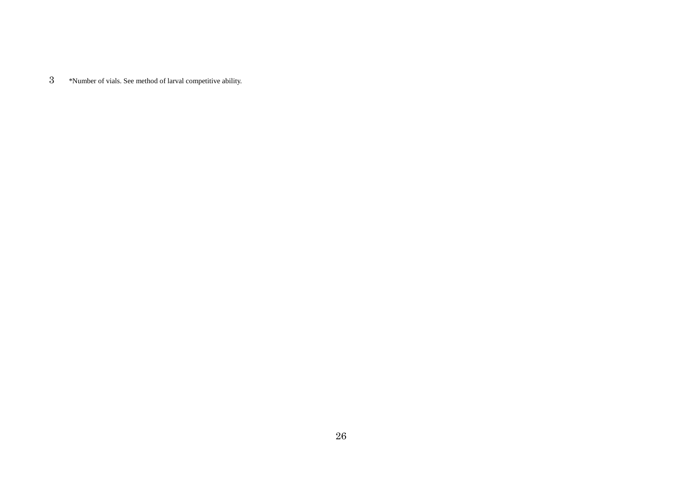\*Number of vials. See method of larval competitive ability.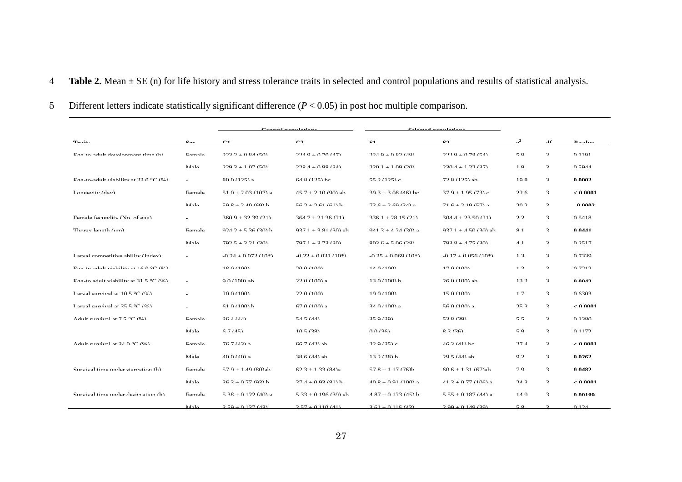- 4 **Table 2.** Mean ± SE (n) for life history and stress tolerance traits in selected and control populations and results of statistical analysis.
- 5 Different letters indicate statistically significant difference (*P* < 0.05) in post hoc multiple comparison.

| $T = 14$                                                 |                    | $^{\sim}$                | $\mathbf{C}$           | C1                            | $\mathbf{c}_2$        |                |                |                 |
|----------------------------------------------------------|--------------------|--------------------------|------------------------|-------------------------------|-----------------------|----------------|----------------|-----------------|
| $E_{\alpha\alpha}$ to adult davalonment time $(h)$       | $E_{\alpha m}$ ala | $222 - 0.94$ (50)        | $224.0 + 0.70.747$     | $224.0 \pm 0.927$ (40)        | $222.0 + 0.79$ (51)   | 50             | $\mathbf{r}$   | 0.1101          |
|                                                          | Mole               | $220.3 + 1.07(50)$       | $728A + 0.98(3A)$      | $230.1 + 1.09(20)$            | $230A + 122A$         | 1 Q            | $\mathbf{R}$   | 0.5011          |
| $\Gamma$ an-to-adult viability at 22 0 °C (%)            |                    | $800(125)$ a             | $64.8(125)$ he         | 55.2 $(125)$ e                | $72.8(125)$ ah        | 10 8           | $\mathbf{R}$   | ስ ስሰሰን          |
| $I$ ongarity $(du)$                                      | F <sub>amala</sub> | $510 + 202$ (107) a      | $45.7 + 2.10$ (00) ab  | $20.2 + 2.08$ (A6) ho         | $270 + 105(72)$       | 226            | $\mathbf{r}$   | - 0 0001        |
|                                                          | Mole               | $50.8 + 2.40(60)$ h      | $562 + 261(61)$ h      | $73.6 + 7.60(3.1)$ a          | $71.6 + 7.10.67$ a    | 20.2           | $\mathbf{R}$   | ስ ስስሰን          |
| Eamala facundity (No of ago)                             |                    | $3600 + 3230(21)$        | $2617 + 2126/21$       | $2261 + 2815(21)$             | $304A + 2350(21)$     | $\gamma$       | $\mathbf{r}$   | 0.5119          |
| $Thoray$ langth $(\mu m)$                                | Famala             | $0.24.2 + 5.36(30)$ h    | $0.371 + 2.81$ (20) ob | 0.41 $2 + 4.24$ (20) $\alpha$ | $037.1 + 4.50(20)$ ab | Q <sub>1</sub> | $\mathbf{r}$   | 0.0441          |
|                                                          | Mole               | $702.5 + 3.21$ (30)      | $7071 + 373(30)$       | $803.6 + 5.06.72$             | $703.8 + 4.75(30)$    | $\Lambda$ 1    | $\mathbf{R}$   | 0.2517          |
| I arrial compatitiva ability (Indav)                     |                    | $0.24 + 0.072(10*)$      | $0.22 + 0.021(10*)$    | $0.35 + 0.060(10*)$           | $0.17 + 0.056(10*)$   | 1 <sub>2</sub> | $\mathbf{r}$   | 0.7220          |
| $\Gamma$ an-to-adult viability at $16.0\,^{\circ}$ C (%) |                    | 18 0 (100)               | 20.0(100)              | $1A \cap (100)$               | 17.0(100)             | 1 <sup>2</sup> | $\mathbf{R}$   | 0.7212          |
| Egg to adult viability at $21.5\degree$ C (0.)           |                    | $0.0100$ ab              | 22.0(100)              | $120(100)$ h                  | $26.0(100)$ ab        | 122            | $\mathbf{r}$   | ስ ስስ <i>ለ</i> ን |
| Lorval curvival at $10.5\degree C$ (0.)                  |                    | 20.01100                 | 220(100)               | 10.0 (100)                    | 15.0(100)             | 17             | $\mathbf{r}$   | 0.6303          |
| I arval curvival at $25.5\degree$ C (%)                  |                    | $61.0(100)$ h            | $67.0(100)$ a          | $34.0(100)$ a                 | $56.0(100)$ a         | 253            | $\mathbf{R}$   | - A AAA1        |
| A dult curvival at $7.5$ °C (0.4)                        | Eamala             | 26A(AA)                  | 5A 5(AA)               | 250(20)                       | 520(20)               | 55             | $\mathbf{r}$   | 0.1380          |
|                                                          | Male               | 67(15)                   | 10.5(28)               | 0.0(36)                       | 83(36)                | 50             | $\mathbf{R}$   | 0.1172          |
| A dult curvived of $24.0\,^{\circ}$ C $(0\%)$            | Eamala             | $767(12)$ a              | $667(11)$ ah           | 220(25)                       | $462(41)$ ho          | 27A            | $\mathbf{r}$   | - A AAA1        |
|                                                          | Mala               | $A \cap A \cap A \cap A$ | $286(44)$ ab           | $127(28)$ h                   | $20.5 (AA)$ ab        | $\Omega$       | $\overline{a}$ | ስ ሰንፉን          |
| Curvival time under starvation (h)                       | Female             | $57.0 + 1.40 (80)$       | $62.4 + 1.33$ $(84)$   | $57.8 + 1.17$ (76)h           | $606 + 131(67)$ gh    | 7 Q            | $\mathbf{R}$   | ሰ ሰ <i>ለ</i> የን |
|                                                          | Mala               | $26.2 + 0.77(02)$ h      | $27A + 0.02(21)$ h     | $10.9 + 0.01$ (100) a         | $41.3 + 0.77$ (106) a | 242            | $\mathbf{r}$   | $\geq 0.0001$   |
| Curvival time under deciccation (h)                      | Female             | $5.38 + 0.122$ (AO) a    | $5.33 + 0.106(30)$ ah  | $A$ 87 + 0.123 (45) h         | $555 + 0187$ (AA) a   | $1A$ Q         | $\mathbf{R}$   | A AA190         |
|                                                          | Mala               | $2,50 + 0,137(13)$       | $2.57 + 0.110(41)$     | $3.61 + 0.116(43)$            | $2.00 + 0.140(20)$    | 5Q             |                | 0.124           |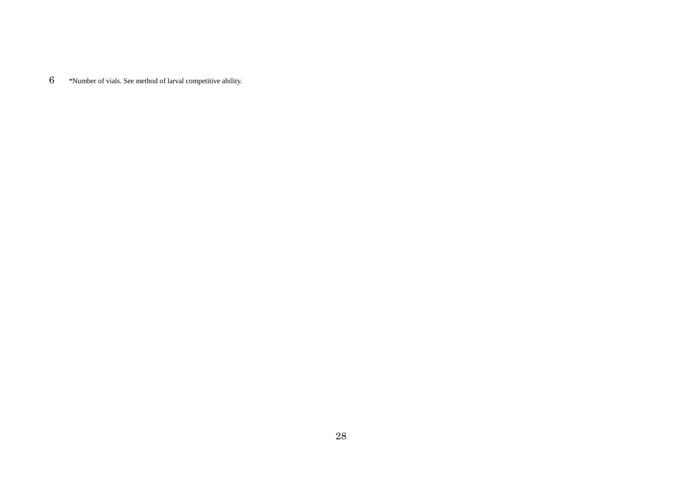\*Number of vials. See method of larval competitive ability.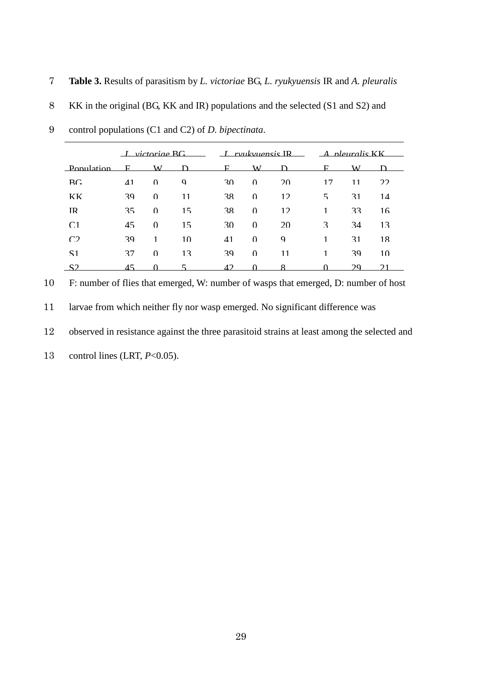- 7 **Table 3.** Results of parasitism by *L. victoriae* BG, *L. ryukyuensis* IR and *A. pleuralis*
- 8 KK in the original (BG, KK and IR) populations and the selected (S1 and S2) and

|                | $\perp$ victorias RG |          |             |          | $I$ roubvacis IR |                 |                         | $\Delta$ ployed $\kappa$ |    |  |
|----------------|----------------------|----------|-------------|----------|------------------|-----------------|-------------------------|--------------------------|----|--|
| Population     | F.                   | W.       | D.          | F.       | W                | D               | F.                      | W.                       |    |  |
| RG             | $\Delta$ 1           | $\Omega$ | $\mathbf Q$ | 30       | $\Omega$         | 20              | 17                      | 11                       | 22 |  |
| KK             | 39                   | $\Omega$ | 11          | 38       | $\Omega$         | 12 <sub>1</sub> | $\overline{\mathbf{z}}$ | 31                       | 14 |  |
| <b>IR</b>      | 35                   | $\Omega$ | 15          | 38       | $\Omega$         | 12              | 1                       | 33                       | 16 |  |
| C <sub>1</sub> | 45                   | $\Omega$ | 15          | 30       | $\Omega$         | 20              | $\mathcal{R}$           | 34                       | 13 |  |
| C <sub>2</sub> | 39                   | 1        | 10          | 41       | $\Omega$         | 9               | 1                       | 31                       | 18 |  |
| $\mathbf{S}$ 1 | 37                   | $\Omega$ | 13          | 39       | $\Omega$         | 11              | 1                       | 39                       | 10 |  |
| $\mathbf{S}$   | 15                   |          |             | $\Delta$ |                  |                 |                         | 29                       |    |  |

9 control populations (C1 and C2) of *D. bipectinata*.

10 F: number of flies that emerged, W: number of wasps that emerged, D: number of host

11 larvae from which neither fly nor wasp emerged. No significant difference was

12 observed in resistance against the three parasitoid strains at least among the selected and

13 control lines (LRT, *P*<0.05).